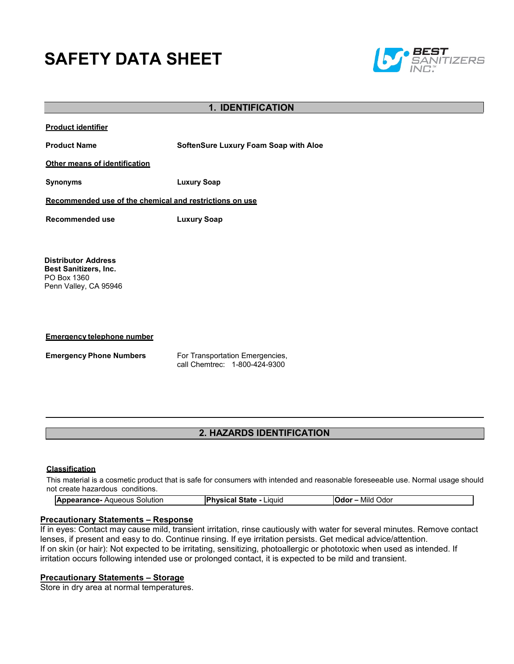# **SAFETY DATA SHEET**



# **1. IDENTIFICATION**

**Product identifier**

**Product Name SoftenSure Luxury Foam Soap with Aloe**

**Other means of identification**

**Synonyms Luxury Soap**

**Recommended use of the chemical and restrictions on use**

**Recommended use Luxury Soap**

**Distributor Address Best Sanitizers, Inc.**  PO Box 1360 Penn Valley, CA 95946

**Emergency telephone number**

**Emergency Phone Numbers** For Transportation Emergencies, call Chemtrec: 1-800-424-9300

# **2. HAZARDS IDENTIFICATION**

# **Classification**

This material is a cosmetic product that is safe for consumers with intended and reasonable foreseeable use. Normal usage should not create hazardous conditions.

| <b>Appearance-</b><br>Aqueous<br>Solution | <b>IPhysical State</b><br>Liauic | Mild<br><b>Odor</b><br>Odor |  |
|-------------------------------------------|----------------------------------|-----------------------------|--|
|-------------------------------------------|----------------------------------|-----------------------------|--|

# **Precautionary Statements – Response**

If in eyes: Contact may cause mild, transient irritation, rinse cautiously with water for several minutes. Remove contact lenses, if present and easy to do. Continue rinsing. If eye irritation persists. Get medical advice/attention. If on skin (or hair): Not expected to be irritating, sensitizing, photoallergic or phototoxic when used as intended. If irritation occurs following intended use or prolonged contact, it is expected to be mild and transient.

# **Precautionary Statements – Storage**

Store in dry area at normal temperatures.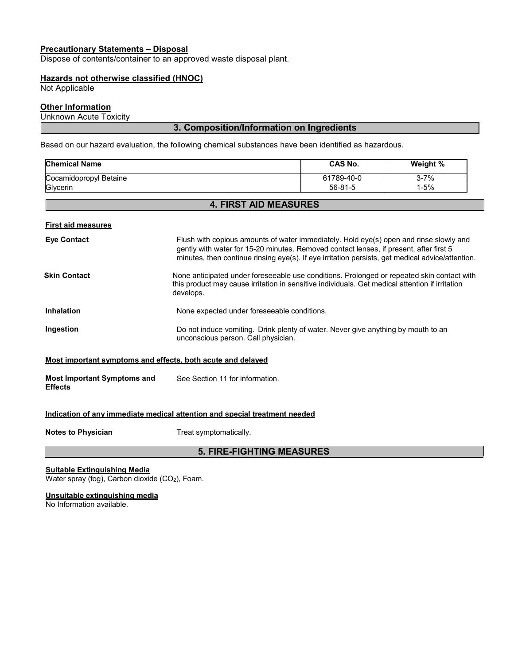# **Precautionary Statements – Disposal**

Dispose of contents/container to an approved waste disposal plant.

# **Hazards not otherwise classified (HNOC)**

Not Applicable

# **Other Information**

Unknown Acute Toxicity

# **3. Composition/Information on Ingredients**

Based on our hazard evaluation, the following chemical substances have been identified as hazardous.

| <b>Chemical Name</b>   | <b>CAS No.</b> | Weight % |
|------------------------|----------------|----------|
| Cocamidopropyl Betaine | 61789-40-0     | 3-7%     |
| Glycerin               | $56 - 81 - 5$  | 1-5%     |

# **4. FIRST AID MEASURES**

#### **First aid measures**

| <b>Eye Contact</b>  | Flush with copious amounts of water immediately. Hold eye(s) open and rinse slowly and<br>gently with water for 15-20 minutes. Removed contact lenses, if present, after first 5<br>minutes, then continue rinsing eye(s). If eye irritation persists, get medical advice/attention. |
|---------------------|--------------------------------------------------------------------------------------------------------------------------------------------------------------------------------------------------------------------------------------------------------------------------------------|
| <b>Skin Contact</b> | None anticipated under foreseeable use conditions. Prolonged or repeated skin contact with<br>this product may cause irritation in sensitive individuals. Get medical attention if irritation<br>develops.                                                                           |
| <b>Inhalation</b>   | None expected under foreseeable conditions.                                                                                                                                                                                                                                          |
| Ingestion           | Do not induce vomiting. Drink plenty of water. Never give anything by mouth to an<br>unconscious person. Call physician.                                                                                                                                                             |
|                     | Most important symptoms and effects, both acute and delayed                                                                                                                                                                                                                          |

#### **Most important symptoms and effects, both acute and delayed**

**Most Important Symptoms and Effects** See Section 11 for information.

### **Indication of any immediate medical attention and special treatment needed**

**Notes to Physician** Treat symptomatically.

# **5. FIRE-FIGHTING MEASURES**

# **Suitable Extinguishing Media**

Water spray (fog), Carbon dioxide (CO<sub>2</sub>), Foam.

# **Unsuitable extinguishing media**

No Information available.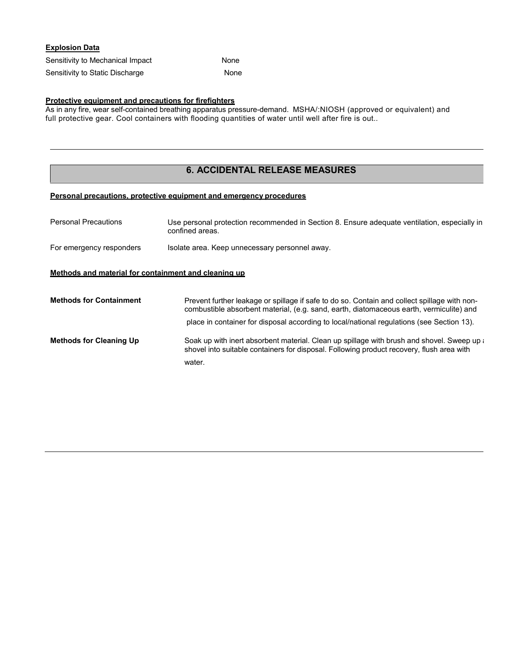| <b>Explosion Data</b>            |      |
|----------------------------------|------|
| Sensitivity to Mechanical Impact | None |
| Sensitivity to Static Discharge  | None |

# **Protective equipment and precautions for firefighters**

As in any fire, wear self-contained breathing apparatus pressure-demand. MSHA/:NIOSH (approved or equivalent) and full protective gear. Cool containers with flooding quantities of water until well after fire is out..

# **6. ACCIDENTAL RELEASE MEASURES**

# **Personal precautions, protective equipment and emergency procedures**

| <b>Personal Precautions</b>                          | Use personal protection recommended in Section 8. Ensure adequate ventilation, especially in<br>confined areas.                                                                         |
|------------------------------------------------------|-----------------------------------------------------------------------------------------------------------------------------------------------------------------------------------------|
| For emergency responders                             | Isolate area. Keep unnecessary personnel away.                                                                                                                                          |
| Methods and material for containment and cleaning up |                                                                                                                                                                                         |
| <b>Methods for Containment</b>                       | Prevent further leakage or spillage if safe to do so. Contain and collect spillage with non-<br>combustible absorbent material, (e.g. sand, earth, diatomaceous earth, vermiculite) and |
|                                                      | place in container for disposal according to local/national regulations (see Section 13).                                                                                               |
| <b>Methods for Cleaning Up</b>                       | Soak up with inert absorbent material. Clean up spillage with brush and shovel. Sweep up a<br>shovel into suitable containers for disposal. Following product recovery, flush area with |
|                                                      | water.                                                                                                                                                                                  |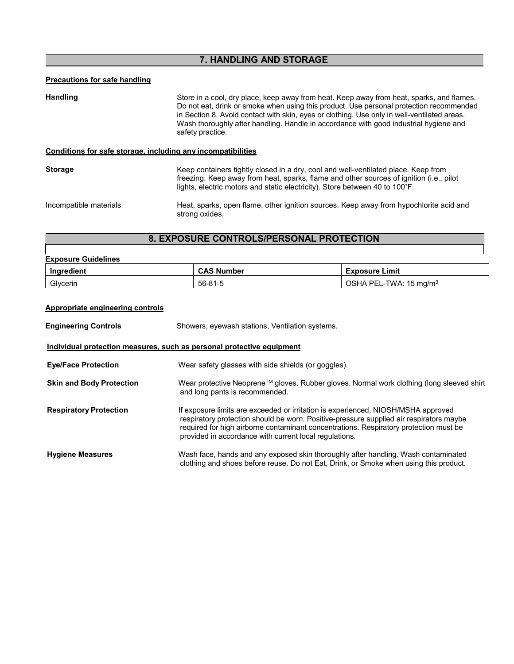# **7. HANDLING AND STORAGE**

# **Precautions for safe handling**

| <b>Handling</b>                                              | Store in a cool, dry place, keep away from heat. Keep away from heat, sparks, and flames.<br>Do not eat, drink or smoke when using this product. Use personal protection recommended<br>in Section 8. Avoid contact with skin, eyes or clothing. Use only in well-ventilated areas.<br>Wash thoroughly after handling. Handle in accordance with good industrial hygiene and<br>safety practice. |  |
|--------------------------------------------------------------|--------------------------------------------------------------------------------------------------------------------------------------------------------------------------------------------------------------------------------------------------------------------------------------------------------------------------------------------------------------------------------------------------|--|
| Conditions for safe storage, including any incompatibilities |                                                                                                                                                                                                                                                                                                                                                                                                  |  |
| <b>Storage</b>                                               | Keep containers tightly closed in a dry, cool and well-ventilated place. Keep from<br>freezing. Keep away from heat, sparks, flame and other sources of ignition (i.e., pilot<br>lights, electric motors and static electricity). Store between 40 to 100°F.                                                                                                                                     |  |
| Incompatible materials                                       | Heat, sparks, open flame, other ignition sources. Keep away from hypochlorite acid and<br>strong oxides.                                                                                                                                                                                                                                                                                         |  |

# **8. EXPOSURE CONTROLS/PERSONAL PROTECTION**

| <b>Exposure Guidelines</b><br>Ingredient | <b>CAS Number</b> | <b>Exposure Limit</b>             |
|------------------------------------------|-------------------|-----------------------------------|
| Glycerin                                 | 56-81-5           | OSHA PEL-TWA: $15 \text{ mg/m}^3$ |
| Appropriate engineering controls         |                   |                                   |

| <b>Engineering Controls</b>     | Showers, eyewash stations, Ventilation systems.                                                                                                                                                                                                                                                                                 |  |  |  |  |
|---------------------------------|---------------------------------------------------------------------------------------------------------------------------------------------------------------------------------------------------------------------------------------------------------------------------------------------------------------------------------|--|--|--|--|
|                                 | Individual protection measures, such as personal protective equipment                                                                                                                                                                                                                                                           |  |  |  |  |
| <b>Eye/Face Protection</b>      | Wear safety glasses with side shields (or goggles).                                                                                                                                                                                                                                                                             |  |  |  |  |
| <b>Skin and Body Protection</b> | Wear protective Neoprene™ gloves. Rubber gloves. Normal work clothing (long sleeved shirt<br>and long pants is recommended.                                                                                                                                                                                                     |  |  |  |  |
| <b>Respiratory Protection</b>   | If exposure limits are exceeded or irritation is experienced, NIOSH/MSHA approved<br>respiratory protection should be worn. Positive-pressure supplied air respirators maybe<br>required for high airborne contaminant concentrations. Respiratory protection must be<br>provided in accordance with current local regulations. |  |  |  |  |
| <b>Hygiene Measures</b>         | Wash face, hands and any exposed skin thoroughly after handling. Wash contaminated<br>clothing and shoes before reuse. Do not Eat, Drink, or Smoke when using this product.                                                                                                                                                     |  |  |  |  |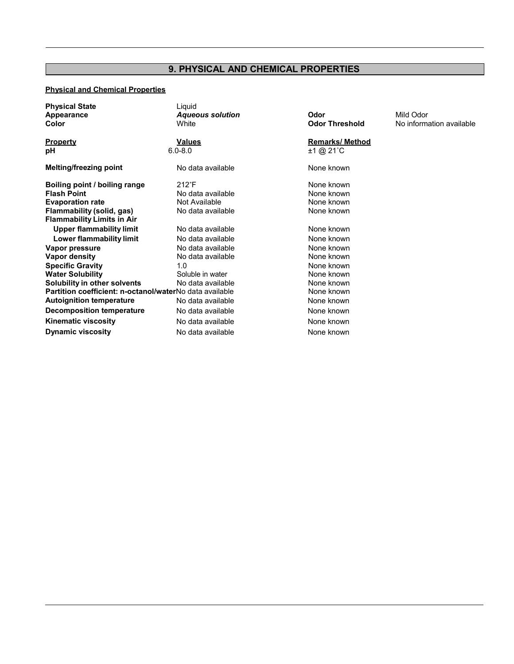# **9. PHYSICAL AND CHEMICAL PROPERTIES**

# **Physical and Chemical Properties**

| <b>Physical State</b><br><b>Appearance</b><br>Color     | Liquid<br><b>Aqueous solution</b><br>White | Odor<br><b>Odor Threshold</b> | Mild Odor<br>No information available |
|---------------------------------------------------------|--------------------------------------------|-------------------------------|---------------------------------------|
| <b>Property</b>                                         | <u>Values</u>                              | <b>Remarks/ Method</b>        |                                       |
| рH                                                      | $6.0 - 8.0$                                | $±1$ @ 21 °C                  |                                       |
| <b>Melting/freezing point</b>                           | No data available                          | None known                    |                                       |
| Boiling point / boiling range                           | $212^{\circ}F$                             | None known                    |                                       |
| <b>Flash Point</b>                                      | No data available                          | None known                    |                                       |
| <b>Evaporation rate</b>                                 | Not Available                              | None known                    |                                       |
| Flammability (solid, gas)                               | No data available                          | None known                    |                                       |
| <b>Flammability Limits in Air</b>                       |                                            |                               |                                       |
| <b>Upper flammability limit</b>                         | No data available                          | None known                    |                                       |
| Lower flammability limit                                | No data available                          | None known                    |                                       |
| Vapor pressure                                          | No data available                          | None known                    |                                       |
| <b>Vapor density</b>                                    | No data available                          | None known                    |                                       |
| <b>Specific Gravity</b>                                 | 1.0                                        | None known                    |                                       |
| <b>Water Solubility</b>                                 | Soluble in water                           | None known                    |                                       |
| Solubility in other solvents                            | No data available                          | None known                    |                                       |
| Partition coefficient: n-octanol/waterNo data available |                                            | None known                    |                                       |
| <b>Autoignition temperature</b>                         | No data available                          | None known                    |                                       |
| Decomposition temperature                               | No data available                          | None known                    |                                       |
| <b>Kinematic viscosity</b>                              | No data available                          | None known                    |                                       |
| <b>Dynamic viscosity</b>                                | No data available                          | None known                    |                                       |
|                                                         |                                            |                               |                                       |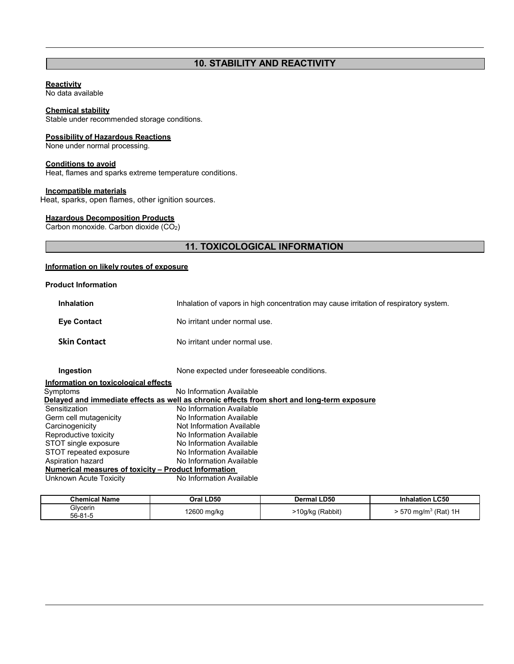# **10. STABILITY AND REACTIVITY**

#### **Reactivity**

No data available

#### **Chemical stability**

Stable under recommended storage conditions.

#### **Possibility of Hazardous Reactions**

None under normal processing.

#### **Conditions to avoid**

Heat, flames and sparks extreme temperature conditions.

# **Incompatible materials**

Heat, sparks, open flames, other ignition sources.

# **Hazardous Decomposition Products**

Carbon monoxide. Carbon dioxide (CO2)

# **11. TOXICOLOGICAL INFORMATION**

# **Information on likely routes of exposure**

### **Product Information**

| <b>Inhalation</b>   | Inhalation of vapors in high concentration may cause irritation of respiratory system. |
|---------------------|----------------------------------------------------------------------------------------|
| <b>Eve Contact</b>  | No irritant under normal use.                                                          |
| <b>Skin Contact</b> | No irritant under normal use.                                                          |

**Ingestion** None expected under foreseeable conditions.

| No Information Available                                                                          |
|---------------------------------------------------------------------------------------------------|
| <u>Delayed and immediate effects as well as chronic effects from short and long-term exposure</u> |
| No Information Available                                                                          |
| No Information Available                                                                          |
| Not Information Available                                                                         |
| No Information Available                                                                          |
| No Information Available                                                                          |
| No Information Available                                                                          |
| No Information Available                                                                          |
| Numerical measures of toxicity - Product Information                                              |
| No Information Available                                                                          |
| Information on toxicological effects                                                              |

| <b>Chemical Name</b> | Oral LD50   | <b>Dermal LD50</b> | <b>Inhalation LC50</b>         |
|----------------------|-------------|--------------------|--------------------------------|
| Glycerin<br>56-81-5  | 12600 mg/kg | I0g/kg (Rabbit)    | 570 mg/m <sup>3</sup> (Rat) 1H |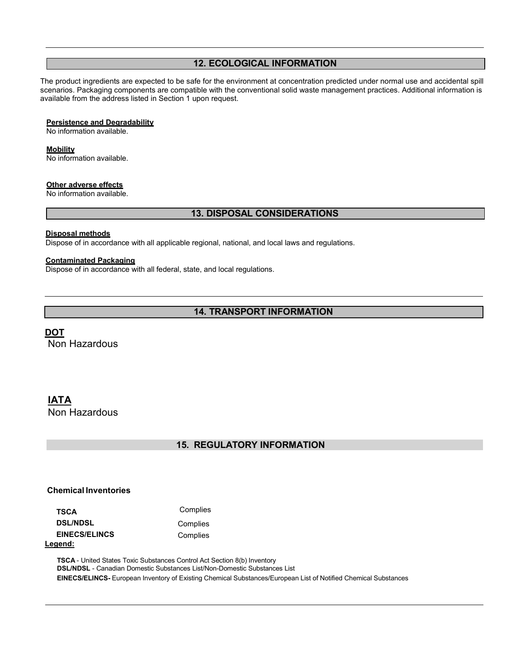# **12. ECOLOGICAL INFORMATION**

The product ingredients are expected to be safe for the environment at concentration predicted under normal use and accidental spill scenarios. Packaging components are compatible with the conventional solid waste management practices. Additional information is available from the address listed in Section 1 upon request.

#### **Persistence and Degradability**

No information available.

#### **Mobility**

No information available.

#### **Other adverse effects**

No information available.

# **13. DISPOSAL CONSIDERATIONS**

#### **Disposal methods**

Dispose of in accordance with all applicable regional, national, and local laws and regulations.

#### **Contaminated Packaging**

Dispose of in accordance with all federal, state, and local regulations.

# **14. TRANSPORT INFORMATION**

**DOT**

Non Hazardous

# **IATA**

Non Hazardous

# **15. REGULATORY INFORMATION**

## **Chemical Inventories**

**TSCA** Complies **DSL/NDSL** Complies **EINECS/ELINCS** Complies **Legend:**

**TSCA** - United States Toxic Substances Control Act Section 8(b) Inventory **DSL/NDSL** - Canadian Domestic Substances List/Non-Domestic Substances List **EINECS/ELINCS-** European Inventory of Existing Chemical Substances/European List of Notified Chemical Substances